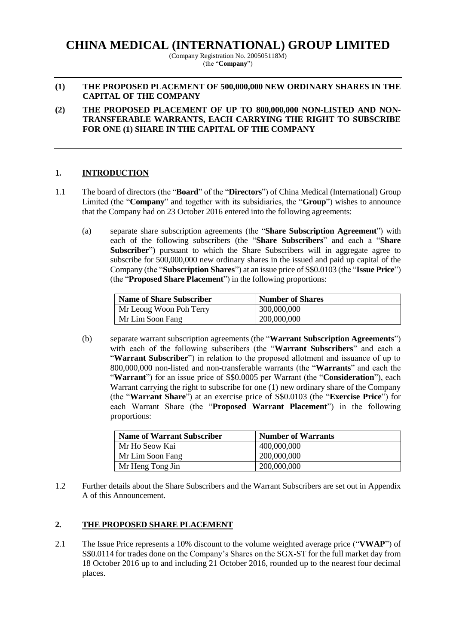# **CHINA MEDICAL (INTERNATIONAL) GROUP LIMITED**

(Company Registration No. 200505118M) (the "**Company**")

#### **(1) THE PROPOSED PLACEMENT OF 500,000,000 NEW ORDINARY SHARES IN THE CAPITAL OF THE COMPANY**

**(2) THE PROPOSED PLACEMENT OF UP TO 800,000,000 NON-LISTED AND NON-TRANSFERABLE WARRANTS, EACH CARRYING THE RIGHT TO SUBSCRIBE FOR ONE (1) SHARE IN THE CAPITAL OF THE COMPANY**

# **1. INTRODUCTION**

- 1.1 The board of directors (the "**Board**" of the "**Directors**") of China Medical (International) Group Limited (the "**Company**" and together with its subsidiaries, the "**Group**") wishes to announce that the Company had on 23 October 2016 entered into the following agreements:
	- (a) separate share subscription agreements (the "**Share Subscription Agreement**") with each of the following subscribers (the "**Share Subscribers**" and each a "**Share Subscriber**") pursuant to which the Share Subscribers will in aggregate agree to subscribe for 500,000,000 new ordinary shares in the issued and paid up capital of the Company (the "**Subscription Shares**") at an issue price of S\$0.0103 (the "**Issue Price**") (the "**Proposed Share Placement**") in the following proportions:

| <b>Name of Share Subscriber</b> | <b>Number of Shares</b> |  |  |
|---------------------------------|-------------------------|--|--|
| Mr Leong Woon Poh Terry         | 300,000,000             |  |  |
| Mr Lim Soon Fang                | 200,000,000             |  |  |

(b) separate warrant subscription agreements (the "**Warrant Subscription Agreements**") with each of the following subscribers (the "**Warrant Subscribers**" and each a "**Warrant Subscriber**") in relation to the proposed allotment and issuance of up to 800,000,000 non-listed and non-transferable warrants (the "**Warrants**" and each the "**Warrant**") for an issue price of S\$0.0005 per Warrant (the "**Consideration**"), each Warrant carrying the right to subscribe for one (1) new ordinary share of the Company (the "**Warrant Share**") at an exercise price of S\$0.0103 (the "**Exercise Price**") for each Warrant Share (the "**Proposed Warrant Placement**") in the following proportions:

| <b>Name of Warrant Subscriber</b> | <b>Number of Warrants</b> |
|-----------------------------------|---------------------------|
| Mr Ho Seow Kai                    | 400,000,000               |
| Mr Lim Soon Fang                  | 200,000,000               |
| Mr Heng Tong Jin                  | 200,000,000               |

1.2 Further details about the Share Subscribers and the Warrant Subscribers are set out in Appendix A of this Announcement.

#### **2. THE PROPOSED SHARE PLACEMENT**

2.1 The Issue Price represents a 10% discount to the volume weighted average price ("**VWAP**") of S\$0.0114 for trades done on the Company's Shares on the SGX-ST for the full market day from 18 October 2016 up to and including 21 October 2016, rounded up to the nearest four decimal places.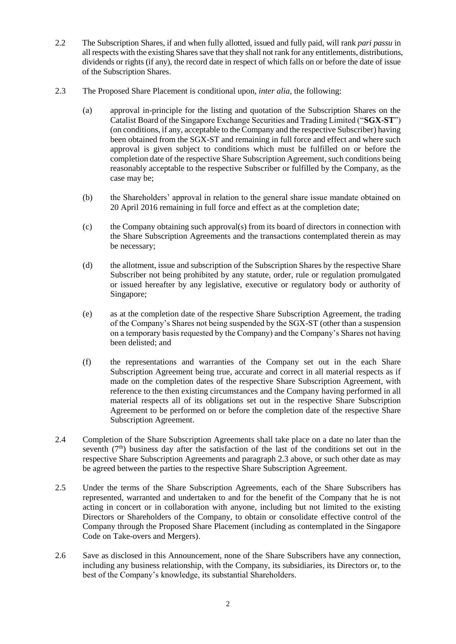- 2.2 The Subscription Shares, if and when fully allotted, issued and fully paid, will rank *pari passu* in all respects with the existing Shares save that they shall not rank for any entitlements, distributions, dividends or rights (if any), the record date in respect of which falls on or before the date of issue of the Subscription Shares.
- 2.3 The Proposed Share Placement is conditional upon, *inter alia,* the following:
	- (a) approval in-principle for the listing and quotation of the Subscription Shares on the Catalist Board of the Singapore Exchange Securities and Trading Limited ("**SGX-ST**") (on conditions, if any, acceptable to the Company and the respective Subscriber) having been obtained from the SGX-ST and remaining in full force and effect and where such approval is given subject to conditions which must be fulfilled on or before the completion date of the respective Share Subscription Agreement, such conditions being reasonably acceptable to the respective Subscriber or fulfilled by the Company, as the case may be;
	- (b) the Shareholders' approval in relation to the general share issue mandate obtained on 20 April 2016 remaining in full force and effect as at the completion date;
	- (c) the Company obtaining such approval(s) from its board of directors in connection with the Share Subscription Agreements and the transactions contemplated therein as may be necessary;
	- (d) the allotment, issue and subscription of the Subscription Shares by the respective Share Subscriber not being prohibited by any statute, order, rule or regulation promulgated or issued hereafter by any legislative, executive or regulatory body or authority of Singapore;
	- (e) as at the completion date of the respective Share Subscription Agreement, the trading of the Company's Shares not being suspended by the SGX-ST (other than a suspension on a temporary basis requested by the Company) and the Company's Shares not having been delisted; and
	- (f) the representations and warranties of the Company set out in the each Share Subscription Agreement being true, accurate and correct in all material respects as if made on the completion dates of the respective Share Subscription Agreement, with reference to the then existing circumstances and the Company having performed in all material respects all of its obligations set out in the respective Share Subscription Agreement to be performed on or before the completion date of the respective Share Subscription Agreement.
- 2.4 Completion of the Share Subscription Agreements shall take place on a date no later than the seventh  $(7<sup>th</sup>)$  business day after the satisfaction of the last of the conditions set out in the respective Share Subscription Agreements and paragraph 2.3 above, or such other date as may be agreed between the parties to the respective Share Subscription Agreement.
- 2.5 Under the terms of the Share Subscription Agreements, each of the Share Subscribers has represented, warranted and undertaken to and for the benefit of the Company that he is not acting in concert or in collaboration with anyone, including but not limited to the existing Directors or Shareholders of the Company, to obtain or consolidate effective control of the Company through the Proposed Share Placement (including as contemplated in the Singapore Code on Take-overs and Mergers).
- 2.6 Save as disclosed in this Announcement, none of the Share Subscribers have any connection, including any business relationship, with the Company, its subsidiaries, its Directors or, to the best of the Company's knowledge, its substantial Shareholders.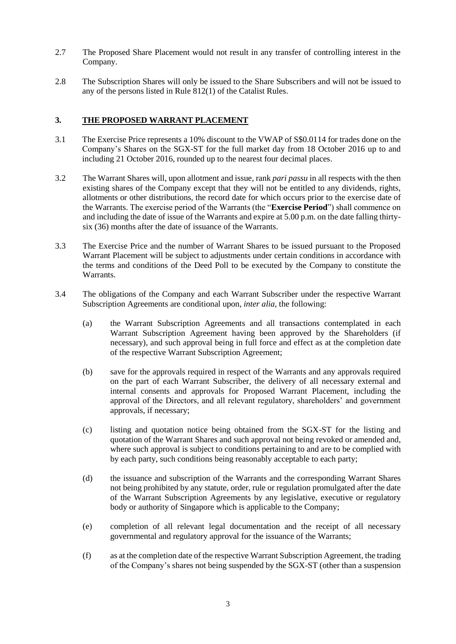- 2.7 The Proposed Share Placement would not result in any transfer of controlling interest in the Company.
- 2.8 The Subscription Shares will only be issued to the Share Subscribers and will not be issued to any of the persons listed in Rule 812(1) of the Catalist Rules.

# **3. THE PROPOSED WARRANT PLACEMENT**

- 3.1 The Exercise Price represents a 10% discount to the VWAP of S\$0.0114 for trades done on the Company's Shares on the SGX-ST for the full market day from 18 October 2016 up to and including 21 October 2016, rounded up to the nearest four decimal places.
- 3.2 The Warrant Shares will, upon allotment and issue, rank *pari passu* in all respects with the then existing shares of the Company except that they will not be entitled to any dividends, rights, allotments or other distributions, the record date for which occurs prior to the exercise date of the Warrants. The exercise period of the Warrants (the "**Exercise Period**") shall commence on and including the date of issue of the Warrants and expire at 5.00 p.m. on the date falling thirtysix (36) months after the date of issuance of the Warrants.
- 3.3 The Exercise Price and the number of Warrant Shares to be issued pursuant to the Proposed Warrant Placement will be subject to adjustments under certain conditions in accordance with the terms and conditions of the Deed Poll to be executed by the Company to constitute the Warrants.
- 3.4 The obligations of the Company and each Warrant Subscriber under the respective Warrant Subscription Agreements are conditional upon, *inter alia,* the following:
	- (a) the Warrant Subscription Agreements and all transactions contemplated in each Warrant Subscription Agreement having been approved by the Shareholders (if necessary), and such approval being in full force and effect as at the completion date of the respective Warrant Subscription Agreement;
	- (b) save for the approvals required in respect of the Warrants and any approvals required on the part of each Warrant Subscriber, the delivery of all necessary external and internal consents and approvals for Proposed Warrant Placement, including the approval of the Directors, and all relevant regulatory, shareholders' and government approvals, if necessary;
	- (c) listing and quotation notice being obtained from the SGX-ST for the listing and quotation of the Warrant Shares and such approval not being revoked or amended and, where such approval is subject to conditions pertaining to and are to be complied with by each party, such conditions being reasonably acceptable to each party;
	- (d) the issuance and subscription of the Warrants and the corresponding Warrant Shares not being prohibited by any statute, order, rule or regulation promulgated after the date of the Warrant Subscription Agreements by any legislative, executive or regulatory body or authority of Singapore which is applicable to the Company;
	- (e) completion of all relevant legal documentation and the receipt of all necessary governmental and regulatory approval for the issuance of the Warrants;
	- (f) as at the completion date of the respective Warrant Subscription Agreement, the trading of the Company's shares not being suspended by the SGX-ST (other than a suspension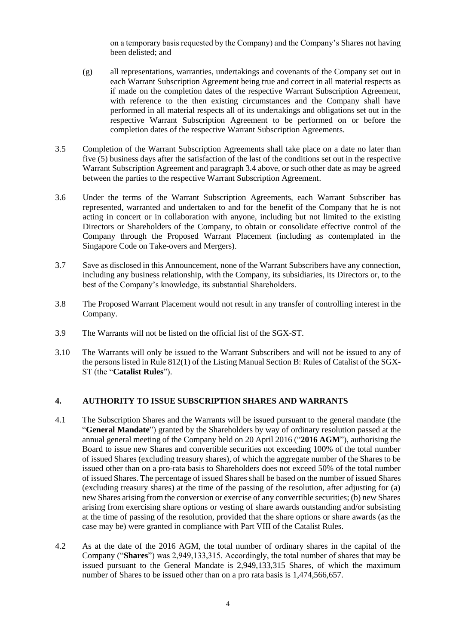on a temporary basis requested by the Company) and the Company's Shares not having been delisted; and

- (g) all representations, warranties, undertakings and covenants of the Company set out in each Warrant Subscription Agreement being true and correct in all material respects as if made on the completion dates of the respective Warrant Subscription Agreement, with reference to the then existing circumstances and the Company shall have performed in all material respects all of its undertakings and obligations set out in the respective Warrant Subscription Agreement to be performed on or before the completion dates of the respective Warrant Subscription Agreements.
- 3.5 Completion of the Warrant Subscription Agreements shall take place on a date no later than five (5) business days after the satisfaction of the last of the conditions set out in the respective Warrant Subscription Agreement and paragraph 3.4 above, or such other date as may be agreed between the parties to the respective Warrant Subscription Agreement.
- 3.6 Under the terms of the Warrant Subscription Agreements, each Warrant Subscriber has represented, warranted and undertaken to and for the benefit of the Company that he is not acting in concert or in collaboration with anyone, including but not limited to the existing Directors or Shareholders of the Company, to obtain or consolidate effective control of the Company through the Proposed Warrant Placement (including as contemplated in the Singapore Code on Take-overs and Mergers).
- 3.7 Save as disclosed in this Announcement, none of the Warrant Subscribers have any connection, including any business relationship, with the Company, its subsidiaries, its Directors or, to the best of the Company's knowledge, its substantial Shareholders.
- 3.8 The Proposed Warrant Placement would not result in any transfer of controlling interest in the Company.
- 3.9 The Warrants will not be listed on the official list of the SGX-ST.
- 3.10 The Warrants will only be issued to the Warrant Subscribers and will not be issued to any of the persons listed in Rule 812(1) of the Listing Manual Section B: Rules of Catalist of the SGX-ST (the "**Catalist Rules**").

# **4. AUTHORITY TO ISSUE SUBSCRIPTION SHARES AND WARRANTS**

- 4.1 The Subscription Shares and the Warrants will be issued pursuant to the general mandate (the "**General Mandate**") granted by the Shareholders by way of ordinary resolution passed at the annual general meeting of the Company held on 20 April 2016 ("**2016 AGM**"), authorising the Board to issue new Shares and convertible securities not exceeding 100% of the total number of issued Shares (excluding treasury shares), of which the aggregate number of the Shares to be issued other than on a pro-rata basis to Shareholders does not exceed 50% of the total number of issued Shares. The percentage of issued Shares shall be based on the number of issued Shares (excluding treasury shares) at the time of the passing of the resolution, after adjusting for (a) new Shares arising from the conversion or exercise of any convertible securities; (b) new Shares arising from exercising share options or vesting of share awards outstanding and/or subsisting at the time of passing of the resolution, provided that the share options or share awards (as the case may be) were granted in compliance with Part VIII of the Catalist Rules.
- 4.2 As at the date of the 2016 AGM, the total number of ordinary shares in the capital of the Company ("**Shares**") was 2,949,133,315. Accordingly, the total number of shares that may be issued pursuant to the General Mandate is 2,949,133,315 Shares, of which the maximum number of Shares to be issued other than on a pro rata basis is 1,474,566,657.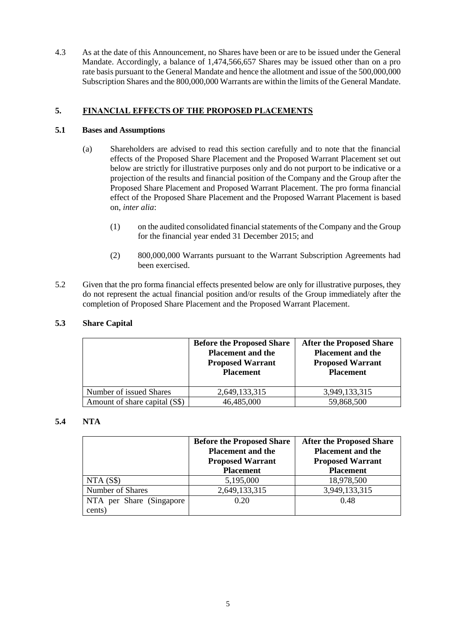4.3 As at the date of this Announcement, no Shares have been or are to be issued under the General Mandate. Accordingly, a balance of 1,474,566,657 Shares may be issued other than on a pro rate basis pursuant to the General Mandate and hence the allotment and issue of the 500,000,000 Subscription Shares and the 800,000,000 Warrants are within the limits of the General Mandate.

# **5. FINANCIAL EFFECTS OF THE PROPOSED PLACEMENTS**

# **5.1 Bases and Assumptions**

- (a) Shareholders are advised to read this section carefully and to note that the financial effects of the Proposed Share Placement and the Proposed Warrant Placement set out below are strictly for illustrative purposes only and do not purport to be indicative or a projection of the results and financial position of the Company and the Group after the Proposed Share Placement and Proposed Warrant Placement. The pro forma financial effect of the Proposed Share Placement and the Proposed Warrant Placement is based on, *inter alia*:
	- (1) on the audited consolidated financial statements of the Company and the Group for the financial year ended 31 December 2015; and
	- (2) 800,000,000 Warrants pursuant to the Warrant Subscription Agreements had been exercised.
- 5.2 Given that the pro forma financial effects presented below are only for illustrative purposes, they do not represent the actual financial position and/or results of the Group immediately after the completion of Proposed Share Placement and the Proposed Warrant Placement.

# **5.3 Share Capital**

|                               | <b>Before the Proposed Share</b><br><b>Placement and the</b><br><b>Proposed Warrant</b><br><b>Placement</b> | <b>After the Proposed Share</b><br><b>Placement and the</b><br><b>Proposed Warrant</b><br><b>Placement</b> |  |
|-------------------------------|-------------------------------------------------------------------------------------------------------------|------------------------------------------------------------------------------------------------------------|--|
| Number of issued Shares       | 2,649,133,315                                                                                               | 3,949,133,315                                                                                              |  |
| Amount of share capital (S\$) | 46,485,000                                                                                                  | 59,868,500                                                                                                 |  |

# **5.4 NTA**

|                           | <b>Before the Proposed Share</b><br><b>Placement and the</b><br><b>Proposed Warrant</b><br><b>Placement</b> | <b>After the Proposed Share</b><br><b>Placement and the</b><br><b>Proposed Warrant</b><br><b>Placement</b> |  |
|---------------------------|-------------------------------------------------------------------------------------------------------------|------------------------------------------------------------------------------------------------------------|--|
| NTA(S\$)                  | 5,195,000                                                                                                   | 18,978,500                                                                                                 |  |
| Number of Shares          | 2,649,133,315                                                                                               | 3,949,133,315                                                                                              |  |
| NTA per Share (Singapore) | 0.20                                                                                                        | 0.48                                                                                                       |  |
| cents)                    |                                                                                                             |                                                                                                            |  |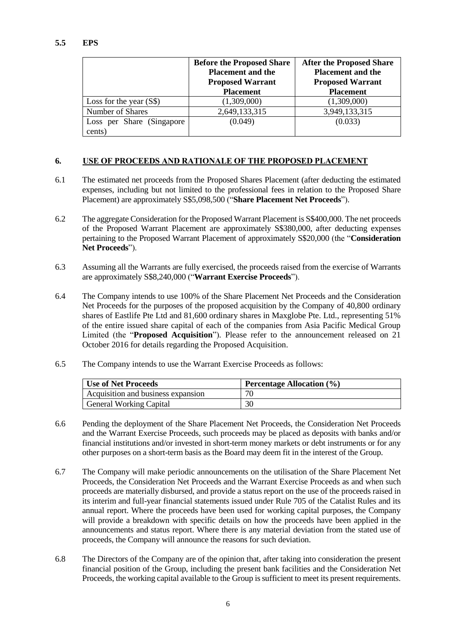# **5.5 EPS**

|                           | <b>Before the Proposed Share</b><br><b>Placement and the</b><br><b>Proposed Warrant</b><br><b>Placement</b> | <b>After the Proposed Share</b><br><b>Placement and the</b><br><b>Proposed Warrant</b><br><b>Placement</b> |  |  |
|---------------------------|-------------------------------------------------------------------------------------------------------------|------------------------------------------------------------------------------------------------------------|--|--|
| Loss for the year $(S\$ ) | (1,309,000)                                                                                                 | (1,309,000)                                                                                                |  |  |
| Number of Shares          | 2,649,133,315                                                                                               | 3,949,133,315                                                                                              |  |  |
| Loss per Share (Singapore | (0.049)                                                                                                     | (0.033)                                                                                                    |  |  |
| cents)                    |                                                                                                             |                                                                                                            |  |  |

# **6. USE OF PROCEEDS AND RATIONALE OF THE PROPOSED PLACEMENT**

- 6.1 The estimated net proceeds from the Proposed Shares Placement (after deducting the estimated expenses, including but not limited to the professional fees in relation to the Proposed Share Placement) are approximately S\$5,098,500 ("**Share Placement Net Proceeds**").
- 6.2 The aggregate Consideration for the Proposed Warrant Placement is S\$400,000. The net proceeds of the Proposed Warrant Placement are approximately S\$380,000, after deducting expenses pertaining to the Proposed Warrant Placement of approximately S\$20,000 (the "**Consideration Net Proceeds**").
- 6.3 Assuming all the Warrants are fully exercised, the proceeds raised from the exercise of Warrants are approximately S\$8,240,000 ("**Warrant Exercise Proceeds**").
- 6.4 The Company intends to use 100% of the Share Placement Net Proceeds and the Consideration Net Proceeds for the purposes of the proposed acquisition by the Company of 40,800 ordinary shares of Eastlife Pte Ltd and 81,600 ordinary shares in Maxglobe Pte. Ltd., representing 51% of the entire issued share capital of each of the companies from Asia Pacific Medical Group Limited (the "**Proposed Acquisition**"). Please refer to the announcement released on 21 October 2016 for details regarding the Proposed Acquisition.
- 6.5 The Company intends to use the Warrant Exercise Proceeds as follows:

| <b>Use of Net Proceeds</b>         | Percentage Allocation (%) |
|------------------------------------|---------------------------|
| Acquisition and business expansion | 70                        |
| <b>General Working Capital</b>     | 30                        |

- 6.6 Pending the deployment of the Share Placement Net Proceeds, the Consideration Net Proceeds and the Warrant Exercise Proceeds, such proceeds may be placed as deposits with banks and/or financial institutions and/or invested in short-term money markets or debt instruments or for any other purposes on a short-term basis as the Board may deem fit in the interest of the Group.
- 6.7 The Company will make periodic announcements on the utilisation of the Share Placement Net Proceeds, the Consideration Net Proceeds and the Warrant Exercise Proceeds as and when such proceeds are materially disbursed, and provide a status report on the use of the proceeds raised in its interim and full-year financial statements issued under Rule 705 of the Catalist Rules and its annual report. Where the proceeds have been used for working capital purposes, the Company will provide a breakdown with specific details on how the proceeds have been applied in the announcements and status report. Where there is any material deviation from the stated use of proceeds, the Company will announce the reasons for such deviation.
- 6.8 The Directors of the Company are of the opinion that, after taking into consideration the present financial position of the Group, including the present bank facilities and the Consideration Net Proceeds, the working capital available to the Group is sufficient to meet its present requirements.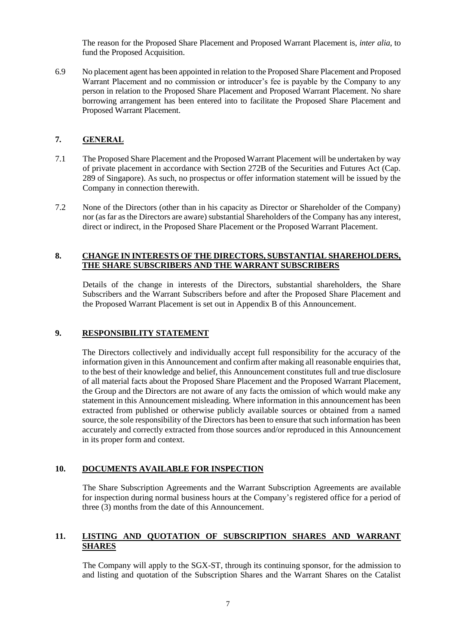The reason for the Proposed Share Placement and Proposed Warrant Placement is, *inter alia*, to fund the Proposed Acquisition.

6.9 No placement agent has been appointed in relation to the Proposed Share Placement and Proposed Warrant Placement and no commission or introducer's fee is payable by the Company to any person in relation to the Proposed Share Placement and Proposed Warrant Placement. No share borrowing arrangement has been entered into to facilitate the Proposed Share Placement and Proposed Warrant Placement.

# **7. GENERAL**

- 7.1 The Proposed Share Placement and the Proposed Warrant Placement will be undertaken by way of private placement in accordance with Section 272B of the Securities and Futures Act (Cap. 289 of Singapore). As such, no prospectus or offer information statement will be issued by the Company in connection therewith.
- 7.2 None of the Directors (other than in his capacity as Director or Shareholder of the Company) nor (as far as the Directors are aware) substantial Shareholders of the Company has any interest, direct or indirect, in the Proposed Share Placement or the Proposed Warrant Placement.

# **8. CHANGE IN INTERESTS OF THE DIRECTORS, SUBSTANTIAL SHAREHOLDERS, THE SHARE SUBSCRIBERS AND THE WARRANT SUBSCRIBERS**

Details of the change in interests of the Directors, substantial shareholders, the Share Subscribers and the Warrant Subscribers before and after the Proposed Share Placement and the Proposed Warrant Placement is set out in Appendix B of this Announcement.

# **9. RESPONSIBILITY STATEMENT**

The Directors collectively and individually accept full responsibility for the accuracy of the information given in this Announcement and confirm after making all reasonable enquiries that, to the best of their knowledge and belief, this Announcement constitutes full and true disclosure of all material facts about the Proposed Share Placement and the Proposed Warrant Placement, the Group and the Directors are not aware of any facts the omission of which would make any statement in this Announcement misleading. Where information in this announcement has been extracted from published or otherwise publicly available sources or obtained from a named source, the sole responsibility of the Directors has been to ensure that such information has been accurately and correctly extracted from those sources and/or reproduced in this Announcement in its proper form and context.

# **10. DOCUMENTS AVAILABLE FOR INSPECTION**

The Share Subscription Agreements and the Warrant Subscription Agreements are available for inspection during normal business hours at the Company's registered office for a period of three (3) months from the date of this Announcement.

# **11. LISTING AND QUOTATION OF SUBSCRIPTION SHARES AND WARRANT SHARES**

The Company will apply to the SGX-ST, through its continuing sponsor, for the admission to and listing and quotation of the Subscription Shares and the Warrant Shares on the Catalist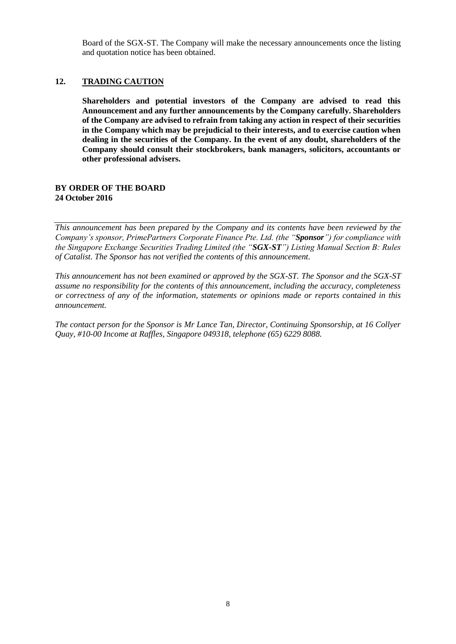Board of the SGX-ST. The Company will make the necessary announcements once the listing and quotation notice has been obtained.

#### **12. TRADING CAUTION**

**Shareholders and potential investors of the Company are advised to read this Announcement and any further announcements by the Company carefully. Shareholders of the Company are advised to refrain from taking any action in respect of their securities in the Company which may be prejudicial to their interests, and to exercise caution when dealing in the securities of the Company. In the event of any doubt, shareholders of the Company should consult their stockbrokers, bank managers, solicitors, accountants or other professional advisers.**

#### **BY ORDER OF THE BOARD 24 October 2016**

*This announcement has been prepared by the Company and its contents have been reviewed by the Company's sponsor, PrimePartners Corporate Finance Pte. Ltd. (the "Sponsor") for compliance with the Singapore Exchange Securities Trading Limited (the "SGX-ST") Listing Manual Section B: Rules of Catalist. The Sponsor has not verified the contents of this announcement.* 

*This announcement has not been examined or approved by the SGX-ST. The Sponsor and the SGX-ST assume no responsibility for the contents of this announcement, including the accuracy, completeness or correctness of any of the information, statements or opinions made or reports contained in this announcement.* 

*The contact person for the Sponsor is Mr Lance Tan, Director, Continuing Sponsorship, at 16 Collyer Quay, #10-00 Income at Raffles, Singapore 049318, telephone (65) 6229 8088.*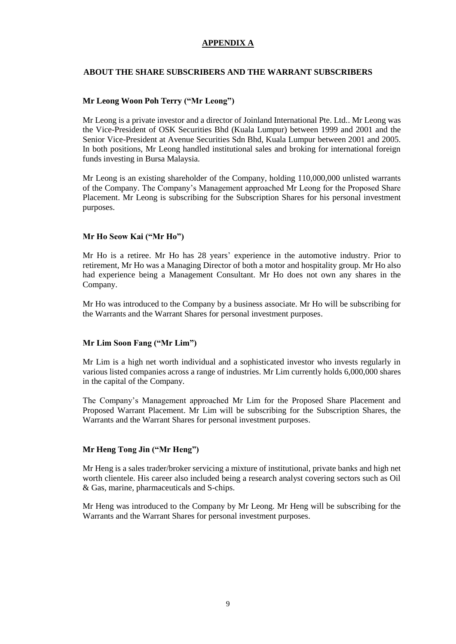# **APPENDIX A**

#### **ABOUT THE SHARE SUBSCRIBERS AND THE WARRANT SUBSCRIBERS**

#### **Mr Leong Woon Poh Terry ("Mr Leong")**

Mr Leong is a private investor and a director of Joinland International Pte. Ltd.. Mr Leong was the Vice-President of OSK Securities Bhd (Kuala Lumpur) between 1999 and 2001 and the Senior Vice-President at Avenue Securities Sdn Bhd, Kuala Lumpur between 2001 and 2005. In both positions, Mr Leong handled institutional sales and broking for international foreign funds investing in Bursa Malaysia.

Mr Leong is an existing shareholder of the Company, holding 110,000,000 unlisted warrants of the Company. The Company's Management approached Mr Leong for the Proposed Share Placement. Mr Leong is subscribing for the Subscription Shares for his personal investment purposes.

# **Mr Ho Seow Kai ("Mr Ho")**

Mr Ho is a retiree. Mr Ho has 28 years' experience in the automotive industry. Prior to retirement, Mr Ho was a Managing Director of both a motor and hospitality group. Mr Ho also had experience being a Management Consultant. Mr Ho does not own any shares in the Company.

Mr Ho was introduced to the Company by a business associate. Mr Ho will be subscribing for the Warrants and the Warrant Shares for personal investment purposes.

#### **Mr Lim Soon Fang ("Mr Lim")**

Mr Lim is a high net worth individual and a sophisticated investor who invests regularly in various listed companies across a range of industries. Mr Lim currently holds 6,000,000 shares in the capital of the Company.

The Company's Management approached Mr Lim for the Proposed Share Placement and Proposed Warrant Placement. Mr Lim will be subscribing for the Subscription Shares, the Warrants and the Warrant Shares for personal investment purposes.

#### **Mr Heng Tong Jin ("Mr Heng")**

Mr Heng is a sales trader/broker servicing a mixture of institutional, private banks and high net worth clientele. His career also included being a research analyst covering sectors such as Oil & Gas, marine, pharmaceuticals and S-chips.

Mr Heng was introduced to the Company by Mr Leong. Mr Heng will be subscribing for the Warrants and the Warrant Shares for personal investment purposes.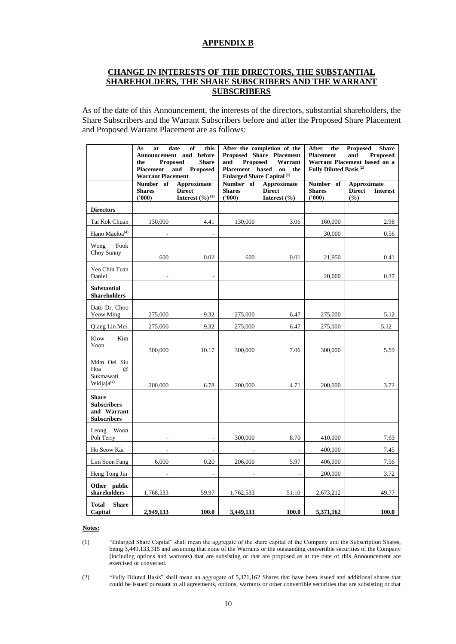#### **APPENDIX B**

# **CHANGE IN INTERESTS OF THE DIRECTORS, THE SUBSTANTIAL SHAREHOLDERS, THE SHARE SUBSCRIBERS AND THE WARRANT SUBSCRIBERS**

As of the date of this Announcement, the interests of the directors, substantial shareholders, the Share Subscribers and the Warrant Subscribers before and after the Proposed Share Placement and Proposed Warrant Placement are as follows:

|                                                                         | As<br>at<br>Announcement and<br><b>Proposed</b><br>the<br><b>Placement</b><br><b>Warrant Placement</b> | this<br>date<br>of<br>before<br><b>Share</b><br>and<br><b>Proposed</b>       | After the completion of the<br>Proposed Share Placement<br><b>Proposed</b><br>Warrant<br>and<br>Placement based<br>on the<br><b>Enlarged Share Capital</b> <sup>(1)</sup> |                                                         | After<br><b>Proposed</b><br><b>Share</b><br>the<br>and<br><b>Placement</b><br><b>Proposed</b><br>Warrant Placement based on a<br>Fully Diluted Basis <sup>(2)</sup> |                                                               |
|-------------------------------------------------------------------------|--------------------------------------------------------------------------------------------------------|------------------------------------------------------------------------------|---------------------------------------------------------------------------------------------------------------------------------------------------------------------------|---------------------------------------------------------|---------------------------------------------------------------------------------------------------------------------------------------------------------------------|---------------------------------------------------------------|
|                                                                         | Number of<br><b>Shares</b><br>(2000)                                                                   | <b>Approximate</b><br><b>Direct</b><br><b>Interest</b> $(\frac{9}{0})^{(3)}$ | Number of<br><b>Shares</b><br>(2000)                                                                                                                                      | <b>Approximate</b><br><b>Direct</b><br>Interest $(\% )$ | Number of<br><b>Shares</b><br>(2000)                                                                                                                                | <b>Approximate</b><br><b>Direct</b><br><b>Interest</b><br>(%) |
| <b>Directors</b>                                                        |                                                                                                        |                                                                              |                                                                                                                                                                           |                                                         |                                                                                                                                                                     |                                                               |
| Tai Kok Chuan                                                           | 130,000                                                                                                | 4.41                                                                         | 130,000                                                                                                                                                                   | 3.06                                                    | 160,000                                                                                                                                                             | 2.98                                                          |
| Hano Maeloa <sup>(4)</sup>                                              |                                                                                                        |                                                                              |                                                                                                                                                                           |                                                         | 30,000                                                                                                                                                              | 0.56                                                          |
| Fook<br>Wong<br>Choy Sunny                                              | 600                                                                                                    | 0.02                                                                         | 600                                                                                                                                                                       | 0.01                                                    | 21,950                                                                                                                                                              | 0.41                                                          |
| Yeo Chin Tuan<br>Daniel                                                 |                                                                                                        |                                                                              |                                                                                                                                                                           |                                                         | 20,000                                                                                                                                                              | 0.37                                                          |
| Substantial<br><b>Shareholders</b>                                      |                                                                                                        |                                                                              |                                                                                                                                                                           |                                                         |                                                                                                                                                                     |                                                               |
| Dato Dr. Choo<br>Yeow Ming                                              | 275,000                                                                                                | 9.32                                                                         | 275,000                                                                                                                                                                   | 6.47                                                    | 275,000                                                                                                                                                             | 5.12                                                          |
| Qiang Lin Mei                                                           | 275,000                                                                                                | 9.32                                                                         | 275,000                                                                                                                                                                   | 6.47                                                    | 275,000                                                                                                                                                             | 5.12                                                          |
| Kiow<br>Kim<br>Yoon                                                     | 300,000                                                                                                | 10.17                                                                        | 300,000                                                                                                                                                                   | 7.06                                                    | 300,000                                                                                                                                                             | 5.59                                                          |
| Mdm Oei Siu<br>Hoa<br>$\omega$<br>Sukmawati<br>Widjaja <sup>(4)</sup>   | 200,000                                                                                                | 6.78                                                                         | 200,000                                                                                                                                                                   | 4.71                                                    | 200,000                                                                                                                                                             | 3.72                                                          |
| <b>Share</b><br><b>Subscribers</b><br>and Warrant<br><b>Subscribers</b> |                                                                                                        |                                                                              |                                                                                                                                                                           |                                                         |                                                                                                                                                                     |                                                               |
| Woon<br>Leong<br>Poh Terry                                              |                                                                                                        |                                                                              | 300,000                                                                                                                                                                   | 8.70                                                    | 410,000                                                                                                                                                             | 7.63                                                          |
| Ho Seow Kai                                                             |                                                                                                        | $\overline{a}$                                                               |                                                                                                                                                                           |                                                         | 400,000                                                                                                                                                             | 7.45                                                          |
| Lim Soon Fang                                                           | 6,000                                                                                                  | 0.20                                                                         | 206,000                                                                                                                                                                   | 5.97                                                    | 406,000                                                                                                                                                             | 7.56                                                          |
| Heng Tong Jin                                                           | $\sim$                                                                                                 | $\overline{\phantom{a}}$                                                     | $\overline{\phantom{a}}$                                                                                                                                                  | ÷,                                                      | 200,000                                                                                                                                                             | 3.72                                                          |
| Other public<br>shareholders                                            | 1,768,533                                                                                              | 59.97                                                                        | 1,762,533                                                                                                                                                                 | 51.10                                                   | 2,673,212                                                                                                                                                           | 49.77                                                         |
| <b>Share</b><br>Total<br>Capital                                        | 2,949,133                                                                                              | 100.0                                                                        | 3,449,133                                                                                                                                                                 | 100.0                                                   | 5,371,162                                                                                                                                                           | 100.0                                                         |

#### **Notes:**

(1) "Enlarged Share Capital" shall mean the aggregate of the share capital of the Company and the Subscription Shares, being 3,449,133,315 and assuming that none of the Warrants or the outstanding convertible securities of the Company (including options and warrants) that are subsisting or that are proposed as at the date of this Announcement are exercised or converted.

(2) "Fully Diluted Basis" shall mean an aggregate of 5,371,162 Shares that have been issued and additional shares that could be issued pursuant to all agreements, options, warrants or other convertible securities that are subsisting or that